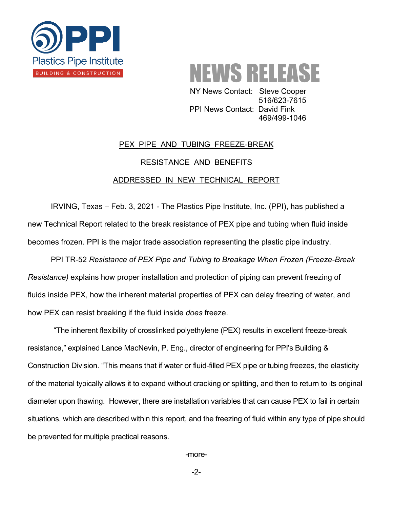



NY News Contact: Steve Cooper 516/623-7615 **PPI News Contact: David Fink** 469/499-1046

## PEX PIPE AND TUBING FREEZE-BREAK RESISTANCE AND BENEFITS ADDRESSED IN NEW TECHNICAL REPORT

IRVING, Texas – Feb. 3, 2021 - The Plastics Pipe Institute, Inc. (PPI), has published a new Technical Report related to the break resistance of PEX pipe and tubing when fluid inside becomes frozen. PPI is the major trade association representing the plastic pipe industry.

PPI TR-52 *Resistance of PEX Pipe and Tubing to Breakage When Frozen (Freeze-Break Resistance)* explains how proper installation and protection of piping can prevent freezing of fluids inside PEX, how the inherent material properties of PEX can delay freezing of water, and how PEX can resist breaking if the fluid inside *does* freeze.

"The inherent flexibility of crosslinked polyethylene (PEX) results in excellent freeze-break resistance," explained Lance MacNevin, P. Eng., director of engineering for PPI's Building & Construction Division. "This means that if water or fluid-filled PEX pipe or tubing freezes, the elasticity of the material typically allows it to expand without cracking or splitting, and then to return to its original diameter upon thawing. However, there are installation variables that can cause PEX to fail in certain situations, which are described within this report, and the freezing of fluid within any type of pipe should be prevented for multiple practical reasons.

-more-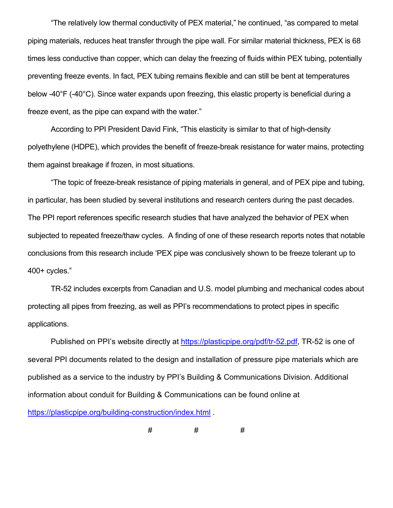"The relatively low thermal conductivity of PEX material," he continued, "as compared to metal piping materials, reduces heat transfer through the pipe wall. For similar material thickness, PEX is 68 times less conductive than copper, which can delay the freezing of fluids within PEX tubing, potentially preventing freeze events. In fact, PEX tubing remains flexible and can still be bent at temperatures below -40°F (-40°C). Since water expands upon freezing, this elastic property is beneficial during a freeze event, as the pipe can expand with the water."

According to PPI President David Fink, "This elasticity is similar to that of high-density polyethylene (HDPE), which provides the benefit of freeze-break resistance for water mains, protecting them against breakage if frozen, in most situations.

"The topic of freeze-break resistance of piping materials in general, and of PEX pipe and tubing, in particular, has been studied by several institutions and research centers during the past decades. The PPI report references specific research studies that have analyzed the behavior of PEX when subjected to repeated freeze/thaw cycles. A finding of one of these research reports notes that notable conclusions from this research include 'PEX pipe was conclusively shown to be freeze tolerant up to 400+ cycles."

TR-52 includes excerpts from Canadian and U.S. model plumbing and mechanical codes about protecting all pipes from freezing, as well as PPI's recommendations to protect pipes in specific applications.

Published on PPI's website directly at [https://plasticpipe.org/pdf/tr-52.pdf,](https://plasticpipe.org/pdf/tr-52.pdf) TR-52 is one of several PPI documents related to the design and installation of pressure pipe materials which are published as a service to the industry by PPI's Building & Communications Division. Additional information about conduit for Building & Communications can be found online at <https://plasticpipe.org/building-construction/index.html> .

# # #